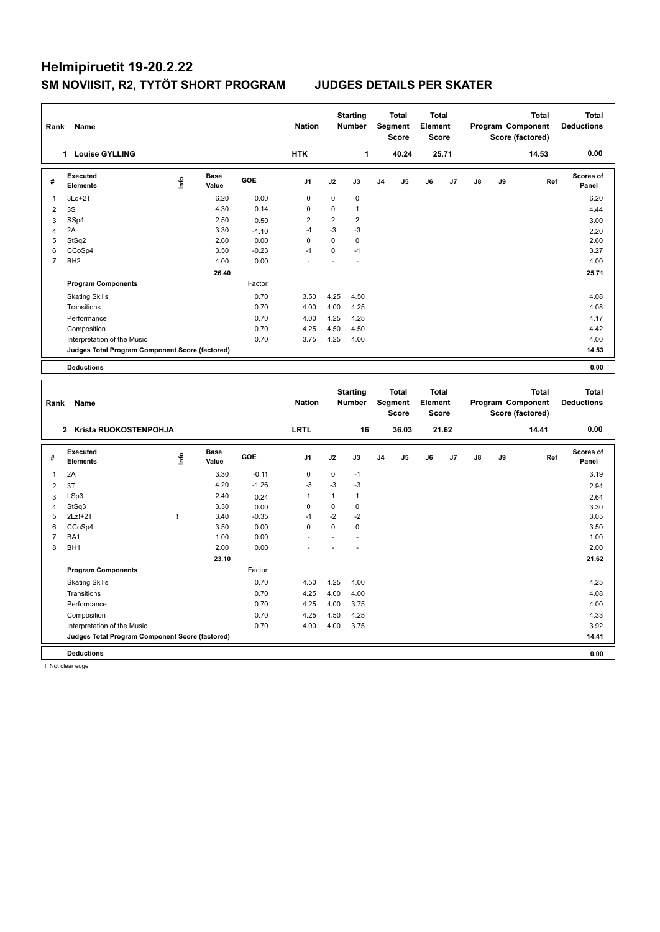| Rank           | Name                                            |      |                      |         | <b>Nation</b>  |                | <b>Starting</b><br><b>Number</b> |                | <b>Total</b><br>Segment<br><b>Score</b> | <b>Total</b><br>Element<br><b>Score</b> |       |               |    | <b>Total</b><br>Program Component<br>Score (factored) | <b>Total</b><br><b>Deductions</b> |
|----------------|-------------------------------------------------|------|----------------------|---------|----------------|----------------|----------------------------------|----------------|-----------------------------------------|-----------------------------------------|-------|---------------|----|-------------------------------------------------------|-----------------------------------|
|                | 1 Louise GYLLING                                |      |                      |         | <b>HTK</b>     |                | 1                                |                | 40.24                                   |                                         | 25.71 |               |    | 14.53                                                 | 0.00                              |
| #              | <b>Executed</b><br><b>Elements</b>              | ١nfo | <b>Base</b><br>Value | GOE     | J <sub>1</sub> | J2             | J3                               | J <sub>4</sub> | J5                                      | J6                                      | J7    | J8            | J9 | Ref                                                   | <b>Scores of</b><br>Panel         |
| $\mathbf{1}$   | $3Lo+2T$                                        |      | 6.20                 | 0.00    | 0              | 0              | 0                                |                |                                         |                                         |       |               |    |                                                       | 6.20                              |
| $\overline{2}$ | 3S                                              |      | 4.30                 | 0.14    | $\Omega$       | $\Omega$       | $\mathbf{1}$                     |                |                                         |                                         |       |               |    |                                                       | 4.44                              |
| 3              | SSp4                                            |      | 2.50                 | 0.50    | 2              | $\overline{2}$ | $\overline{2}$                   |                |                                         |                                         |       |               |    |                                                       | 3.00                              |
| $\overline{4}$ | 2A                                              |      | 3.30                 | $-1.10$ | $-4$           | $-3$           | $-3$                             |                |                                         |                                         |       |               |    |                                                       | 2.20                              |
| 5              | StSq2                                           |      | 2.60                 | 0.00    | $\Omega$       | $\Omega$       | $\mathbf 0$                      |                |                                         |                                         |       |               |    |                                                       | 2.60                              |
| 6              | CCoSp4                                          |      | 3.50                 | $-0.23$ | $-1$           | 0              | $-1$                             |                |                                         |                                         |       |               |    |                                                       | 3.27                              |
| $\overline{7}$ | BH <sub>2</sub>                                 |      | 4.00                 | 0.00    |                |                |                                  |                |                                         |                                         |       |               |    |                                                       | 4.00                              |
|                |                                                 |      | 26.40                |         |                |                |                                  |                |                                         |                                         |       |               |    |                                                       | 25.71                             |
|                | <b>Program Components</b>                       |      |                      | Factor  |                |                |                                  |                |                                         |                                         |       |               |    |                                                       |                                   |
|                | <b>Skating Skills</b>                           |      |                      | 0.70    | 3.50           | 4.25           | 4.50                             |                |                                         |                                         |       |               |    |                                                       | 4.08                              |
|                | Transitions                                     |      |                      | 0.70    | 4.00           | 4.00           | 4.25                             |                |                                         |                                         |       |               |    |                                                       | 4.08                              |
|                | Performance                                     |      |                      | 0.70    | 4.00           | 4.25           | 4.25                             |                |                                         |                                         |       |               |    |                                                       | 4.17                              |
|                | Composition                                     |      |                      | 0.70    | 4.25           | 4.50           | 4.50                             |                |                                         |                                         |       |               |    |                                                       | 4.42                              |
|                | Interpretation of the Music                     |      |                      | 0.70    | 3.75           | 4.25           | 4.00                             |                |                                         |                                         |       |               |    |                                                       | 4.00                              |
|                | Judges Total Program Component Score (factored) |      |                      |         |                |                |                                  |                |                                         |                                         |       |               |    |                                                       | 14.53                             |
|                |                                                 |      |                      |         |                |                |                                  |                |                                         |                                         |       |               |    |                                                       |                                   |
|                | <b>Deductions</b>                               |      |                      |         |                |                |                                  |                |                                         |                                         |       |               |    |                                                       | 0.00                              |
| Rank           | Name                                            |      |                      |         | <b>Nation</b>  |                | <b>Starting</b><br><b>Number</b> |                | <b>Total</b><br>Segment<br>Score        | <b>Total</b><br>Element<br><b>Score</b> |       |               |    | <b>Total</b><br>Program Component<br>Score (factored) | <b>Total</b><br><b>Deductions</b> |
|                | Krista RUOKOSTENPOHJA<br>$\mathbf{2}$           |      |                      |         | <b>LRTL</b>    |                | 16                               |                | 36.03                                   |                                         | 21.62 |               |    | 14.41                                                 | 0.00                              |
| #              | Executed<br><b>Elements</b>                     | ١nf٥ | Base<br>Value        | GOE     | J <sub>1</sub> | J2             | J3                               | J <sub>4</sub> | J5                                      | J6                                      | J7    | $\mathsf{J}8$ | J9 | Ref                                                   | Scores of<br>Panel                |
| -1             | 2A                                              |      | 3.30                 | $-0.11$ | 0              | 0              | $-1$                             |                |                                         |                                         |       |               |    |                                                       | 3.19                              |

2 3T 2.94  $4.20$   $-1.26$   $-3$   $-3$   $-3$  LSp3 2.40 0.24 1 1 1 2.64 StSq3 3.30 0.00 0 0 0 3.30 2Lz!+2T ! 3.40 -0.35 -1 -2 -2 3.05 CCoSp4 3.50 0.00 0 0 0 3.50 BA1 1.00 0.00 - - - 1.00

| <b>Deductions</b>                               |       |        |                          |      |      | 0.00  |
|-------------------------------------------------|-------|--------|--------------------------|------|------|-------|
| Judges Total Program Component Score (factored) |       |        |                          |      |      | 14.41 |
| Interpretation of the Music                     |       | 0.70   | 4.00                     | 4.00 | 3.75 | 3.92  |
| Composition                                     |       | 0.70   | 4.25                     | 4.50 | 4.25 | 4.33  |
| Performance                                     |       | 0.70   | 4.25                     | 4.00 | 3.75 | 4.00  |
| Transitions                                     |       | 0.70   | 4.25                     | 4.00 | 4.00 | 4.08  |
| <b>Skating Skills</b>                           |       | 0.70   | 4.50                     | 4.25 | 4.00 | 4.25  |
| <b>Program Components</b>                       |       | Factor |                          |      |      |       |
|                                                 | 23.10 |        |                          |      |      | 21.62 |
| 8 BH1                                           | 2.00  | 0.00   | $\overline{\phantom{0}}$ |      |      | 2.00  |

! Not clear edge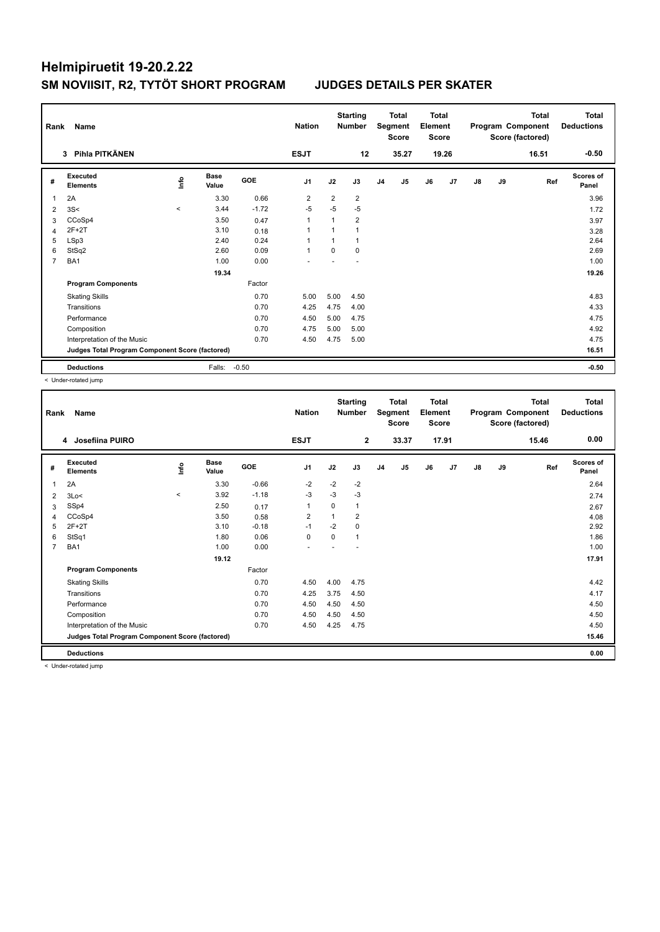| Rank | Name                                            |                          | <b>Nation</b>        |            | <b>Starting</b><br><b>Number</b> |                | <b>Total</b><br>Segment<br><b>Score</b> | <b>Total</b><br>Element<br><b>Score</b> |       |    |                | <b>Total</b><br>Program Component<br>Score (factored) | <b>Total</b><br><b>Deductions</b> |       |                           |
|------|-------------------------------------------------|--------------------------|----------------------|------------|----------------------------------|----------------|-----------------------------------------|-----------------------------------------|-------|----|----------------|-------------------------------------------------------|-----------------------------------|-------|---------------------------|
|      | 3 Pihla PITKÄNEN                                |                          |                      |            | <b>ESJT</b>                      |                | 12                                      |                                         | 35.27 |    | 19.26          |                                                       |                                   | 16.51 | $-0.50$                   |
| #    | Executed<br><b>Elements</b>                     | <u>info</u>              | <b>Base</b><br>Value | <b>GOE</b> | J <sub>1</sub>                   | J2             | J3                                      | J <sub>4</sub>                          | J5    | J6 | J <sub>7</sub> | J8                                                    | J9                                | Ref   | <b>Scores of</b><br>Panel |
| -1   | 2A                                              |                          | 3.30                 | 0.66       | $\overline{2}$                   | $\overline{2}$ | $\overline{2}$                          |                                         |       |    |                |                                                       |                                   |       | 3.96                      |
| 2    | 3S<                                             | $\overline{\phantom{a}}$ | 3.44                 | $-1.72$    | $-5$                             | $-5$           | $-5$                                    |                                         |       |    |                |                                                       |                                   |       | 1.72                      |
| 3    | CCoSp4                                          |                          | 3.50                 | 0.47       | $\mathbf{1}$                     | $\mathbf{1}$   | 2                                       |                                         |       |    |                |                                                       |                                   |       | 3.97                      |
| 4    | $2F+2T$                                         |                          | 3.10                 | 0.18       | -1                               |                | 1                                       |                                         |       |    |                |                                                       |                                   |       | 3.28                      |
| 5    | LSp3                                            |                          | 2.40                 | 0.24       | 1                                |                |                                         |                                         |       |    |                |                                                       |                                   |       | 2.64                      |
| 6    | StSq2                                           |                          | 2.60                 | 0.09       | $\overline{1}$                   | $\Omega$       | $\Omega$                                |                                         |       |    |                |                                                       |                                   |       | 2.69                      |
| 7    | BA1                                             |                          | 1.00                 | 0.00       |                                  |                |                                         |                                         |       |    |                |                                                       |                                   |       | 1.00                      |
|      |                                                 |                          | 19.34                |            |                                  |                |                                         |                                         |       |    |                |                                                       |                                   |       | 19.26                     |
|      | <b>Program Components</b>                       |                          |                      | Factor     |                                  |                |                                         |                                         |       |    |                |                                                       |                                   |       |                           |
|      | <b>Skating Skills</b>                           |                          |                      | 0.70       | 5.00                             | 5.00           | 4.50                                    |                                         |       |    |                |                                                       |                                   |       | 4.83                      |
|      | Transitions                                     |                          |                      | 0.70       | 4.25                             | 4.75           | 4.00                                    |                                         |       |    |                |                                                       |                                   |       | 4.33                      |
|      | Performance                                     |                          |                      | 0.70       | 4.50                             | 5.00           | 4.75                                    |                                         |       |    |                |                                                       |                                   |       | 4.75                      |
|      | Composition                                     |                          |                      | 0.70       | 4.75                             | 5.00           | 5.00                                    |                                         |       |    |                |                                                       |                                   |       | 4.92                      |
|      | Interpretation of the Music                     |                          |                      | 0.70       | 4.50                             | 4.75           | 5.00                                    |                                         |       |    |                |                                                       |                                   |       | 4.75                      |
|      | Judges Total Program Component Score (factored) |                          |                      |            |                                  |                |                                         |                                         |       |    |                |                                                       |                                   |       | 16.51                     |
|      | <b>Deductions</b>                               |                          | Falls:               | $-0.50$    |                                  |                |                                         |                                         |       |    |                |                                                       |                                   |       | $-0.50$                   |

< Under-rotated jump

| Rank           | Name<br>Josefiina PUIRO<br>4                    |       |                      |         |                |             | <b>Starting</b><br><b>Number</b> |                | <b>Total</b><br>Segment<br><b>Score</b> | Total<br>Element<br><b>Score</b> |       |               |    | <b>Total</b><br>Program Component<br>Score (factored) | <b>Total</b><br><b>Deductions</b> |
|----------------|-------------------------------------------------|-------|----------------------|---------|----------------|-------------|----------------------------------|----------------|-----------------------------------------|----------------------------------|-------|---------------|----|-------------------------------------------------------|-----------------------------------|
|                |                                                 |       |                      |         | <b>ESJT</b>    |             | $\overline{2}$                   |                | 33.37                                   |                                  | 17.91 |               |    | 15.46                                                 | 0.00                              |
| #              | Executed<br><b>Elements</b>                     | lnfo  | <b>Base</b><br>Value | GOE     | J <sub>1</sub> | J2          | J3                               | J <sub>4</sub> | J <sub>5</sub>                          | J6                               | J7    | $\mathsf{J}8$ | J9 | Ref                                                   | Scores of<br>Panel                |
| $\mathbf{1}$   | 2A                                              |       | 3.30                 | $-0.66$ | $-2$           | $-2$        | $-2$                             |                |                                         |                                  |       |               |    |                                                       | 2.64                              |
| 2              | 3Lo<                                            | $\,<$ | 3.92                 | $-1.18$ | $-3$           | $-3$        | $-3$                             |                |                                         |                                  |       |               |    |                                                       | 2.74                              |
| 3              | SSp4                                            |       | 2.50                 | 0.17    | $\mathbf{1}$   | 0           | $\mathbf{1}$                     |                |                                         |                                  |       |               |    |                                                       | 2.67                              |
| 4              | CCoSp4                                          |       | 3.50                 | 0.58    | $\overline{2}$ | 1           | $\overline{2}$                   |                |                                         |                                  |       |               |    |                                                       | 4.08                              |
| 5              | $2F+2T$                                         |       | 3.10                 | $-0.18$ | $-1$           | $-2$        | $\Omega$                         |                |                                         |                                  |       |               |    |                                                       | 2.92                              |
| 6              | StSq1                                           |       | 1.80                 | 0.06    | $\mathbf 0$    | $\mathbf 0$ | 1                                |                |                                         |                                  |       |               |    |                                                       | 1.86                              |
| $\overline{7}$ | BA1                                             |       | 1.00                 | 0.00    |                |             |                                  |                |                                         |                                  |       |               |    |                                                       | 1.00                              |
|                |                                                 |       | 19.12                |         |                |             |                                  |                |                                         |                                  |       |               |    |                                                       | 17.91                             |
|                | <b>Program Components</b>                       |       |                      | Factor  |                |             |                                  |                |                                         |                                  |       |               |    |                                                       |                                   |
|                | <b>Skating Skills</b>                           |       |                      | 0.70    | 4.50           | 4.00        | 4.75                             |                |                                         |                                  |       |               |    |                                                       | 4.42                              |
|                | Transitions                                     |       |                      | 0.70    | 4.25           | 3.75        | 4.50                             |                |                                         |                                  |       |               |    |                                                       | 4.17                              |
|                | Performance                                     |       |                      | 0.70    | 4.50           | 4.50        | 4.50                             |                |                                         |                                  |       |               |    |                                                       | 4.50                              |
|                | Composition                                     |       |                      | 0.70    | 4.50           | 4.50        | 4.50                             |                |                                         |                                  |       |               |    |                                                       | 4.50                              |
|                | Interpretation of the Music                     |       |                      | 0.70    | 4.50           | 4.25        | 4.75                             |                |                                         |                                  |       |               |    |                                                       | 4.50                              |
|                | Judges Total Program Component Score (factored) |       |                      |         |                |             |                                  |                |                                         |                                  |       |               |    |                                                       | 15.46                             |
|                | <b>Deductions</b>                               |       |                      |         |                |             |                                  |                |                                         |                                  |       |               |    |                                                       | 0.00                              |

< Under-rotated jump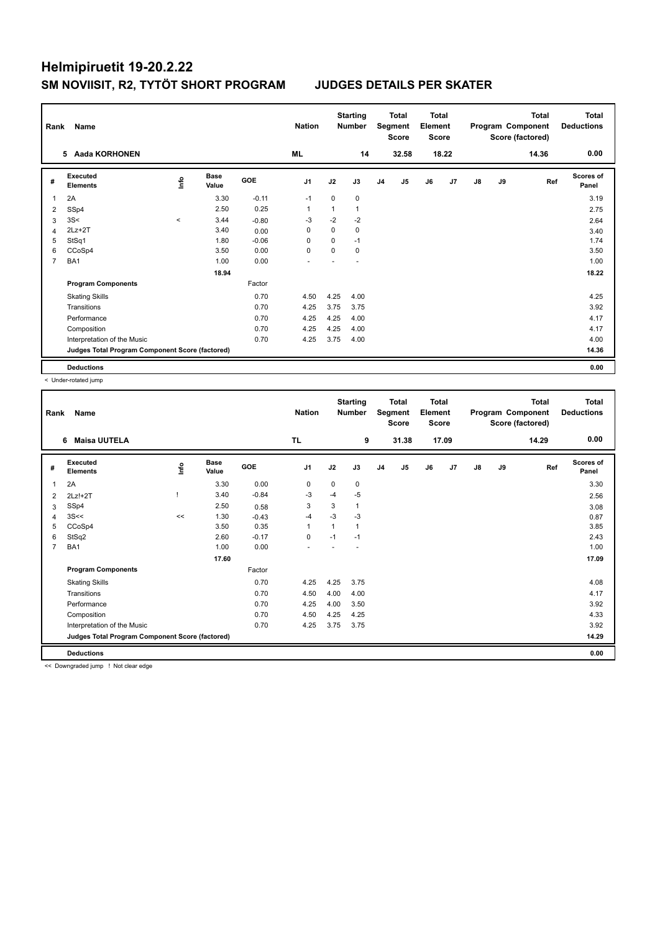| Rank | Name                                            |             | <b>Nation</b>        |            | <b>Starting</b><br><b>Number</b> |      | <b>Total</b><br>Segment<br>Score | <b>Total</b><br>Element<br><b>Score</b> |                |    |       | <b>Total</b><br>Program Component<br>Score (factored) | Total<br><b>Deductions</b> |       |                           |
|------|-------------------------------------------------|-------------|----------------------|------------|----------------------------------|------|----------------------------------|-----------------------------------------|----------------|----|-------|-------------------------------------------------------|----------------------------|-------|---------------------------|
|      | 5 Aada KORHONEN                                 |             |                      |            | ML                               |      | 14                               |                                         | 32.58          |    | 18.22 |                                                       |                            | 14.36 | 0.00                      |
| #    | Executed<br><b>Elements</b>                     | <b>Info</b> | <b>Base</b><br>Value | <b>GOE</b> | J <sub>1</sub>                   | J2   | J3                               | J <sub>4</sub>                          | J <sub>5</sub> | J6 | J7    | $\mathsf{J}8$                                         | J9                         | Ref   | <b>Scores of</b><br>Panel |
|      | 2A                                              |             | 3.30                 | $-0.11$    | $-1$                             | 0    | $\mathbf 0$                      |                                         |                |    |       |                                                       |                            |       | 3.19                      |
| 2    | SSp4                                            |             | 2.50                 | 0.25       | 1                                | 1    | $\mathbf{1}$                     |                                         |                |    |       |                                                       |                            |       | 2.75                      |
| 3    | 3S<                                             | $\hat{}$    | 3.44                 | $-0.80$    | $-3$                             | $-2$ | $-2$                             |                                         |                |    |       |                                                       |                            |       | 2.64                      |
| 4    | $2Lz+2T$                                        |             | 3.40                 | 0.00       | 0                                | 0    | $\mathbf 0$                      |                                         |                |    |       |                                                       |                            |       | 3.40                      |
| 5    | StSq1                                           |             | 1.80                 | $-0.06$    | 0                                | 0    | $-1$                             |                                         |                |    |       |                                                       |                            |       | 1.74                      |
| 6    | CCoSp4                                          |             | 3.50                 | 0.00       | $\Omega$                         | 0    | 0                                |                                         |                |    |       |                                                       |                            |       | 3.50                      |
| 7    | BA1                                             |             | 1.00                 | 0.00       |                                  |      |                                  |                                         |                |    |       |                                                       |                            |       | 1.00                      |
|      |                                                 |             | 18.94                |            |                                  |      |                                  |                                         |                |    |       |                                                       |                            |       | 18.22                     |
|      | <b>Program Components</b>                       |             |                      | Factor     |                                  |      |                                  |                                         |                |    |       |                                                       |                            |       |                           |
|      | <b>Skating Skills</b>                           |             |                      | 0.70       | 4.50                             | 4.25 | 4.00                             |                                         |                |    |       |                                                       |                            |       | 4.25                      |
|      | Transitions                                     |             |                      | 0.70       | 4.25                             | 3.75 | 3.75                             |                                         |                |    |       |                                                       |                            |       | 3.92                      |
|      | Performance                                     |             |                      | 0.70       | 4.25                             | 4.25 | 4.00                             |                                         |                |    |       |                                                       |                            |       | 4.17                      |
|      | Composition                                     |             |                      | 0.70       | 4.25                             | 4.25 | 4.00                             |                                         |                |    |       |                                                       |                            |       | 4.17                      |
|      | Interpretation of the Music                     |             |                      | 0.70       | 4.25                             | 3.75 | 4.00                             |                                         |                |    |       |                                                       |                            |       | 4.00                      |
|      | Judges Total Program Component Score (factored) |             |                      |            |                                  |      |                                  |                                         |                |    |       |                                                       |                            |       | 14.36                     |
|      | <b>Deductions</b>                               |             |                      |            |                                  |      |                                  |                                         |                |    |       |                                                       |                            |       | 0.00                      |

< Under-rotated jump

| Name<br>Rank<br><b>Maisa UUTELA</b><br>6 |                       |                      |                                                 |                |               |      |                                  |       |                                         |    |                                                  |    | <b>Total</b> | <b>Total</b><br><b>Deductions</b>     |
|------------------------------------------|-----------------------|----------------------|-------------------------------------------------|----------------|---------------|------|----------------------------------|-------|-----------------------------------------|----|--------------------------------------------------|----|--------------|---------------------------------------|
|                                          |                       |                      |                                                 | <b>TL</b>      |               | 9    |                                  | 31.38 |                                         |    |                                                  |    | 14.29        | 0.00                                  |
| Executed<br><b>Elements</b>              | lnfo                  | <b>Base</b><br>Value | GOE                                             | J <sub>1</sub> | J2            | J3   | J <sub>4</sub>                   | J5    | J6                                      | J7 | J8                                               | J9 | Ref          | <b>Scores of</b><br>Panel             |
| 2A                                       |                       | 3.30                 | 0.00                                            | $\pmb{0}$      | $\mathbf 0$   | 0    |                                  |       |                                         |    |                                                  |    |              | 3.30                                  |
| $2Lz!+2T$                                |                       | 3.40                 | $-0.84$                                         | -3             | $-4$          | $-5$ |                                  |       |                                         |    |                                                  |    |              | 2.56                                  |
| SSp4                                     |                       | 2.50                 | 0.58                                            | 3              | 3             | 1    |                                  |       |                                         |    |                                                  |    |              | 3.08                                  |
| 3S<<                                     | <<                    | 1.30                 | $-0.43$                                         | $-4$           | $-3$          | $-3$ |                                  |       |                                         |    |                                                  |    |              | 0.87                                  |
| CCoSp4                                   |                       | 3.50                 | 0.35                                            | $\mathbf{1}$   |               | 1    |                                  |       |                                         |    |                                                  |    |              | 3.85                                  |
| StSq2                                    |                       | 2.60                 | $-0.17$                                         | $\mathbf 0$    | $-1$          | $-1$ |                                  |       |                                         |    |                                                  |    |              | 2.43                                  |
| BA <sub>1</sub>                          |                       | 1.00                 | 0.00                                            |                |               |      |                                  |       |                                         |    |                                                  |    |              | 1.00                                  |
|                                          |                       | 17.60                |                                                 |                |               |      |                                  |       |                                         |    |                                                  |    |              | 17.09                                 |
| <b>Program Components</b>                |                       |                      | Factor                                          |                |               |      |                                  |       |                                         |    |                                                  |    |              |                                       |
|                                          |                       |                      | 0.70                                            | 4.25           | 4.25          | 3.75 |                                  |       |                                         |    |                                                  |    |              | 4.08                                  |
| Transitions                              |                       |                      | 0.70                                            | 4.50           | 4.00          | 4.00 |                                  |       |                                         |    |                                                  |    |              | 4.17                                  |
| Performance                              |                       |                      | 0.70                                            | 4.25           | 4.00          | 3.50 |                                  |       |                                         |    |                                                  |    |              | 3.92                                  |
| Composition                              |                       |                      | 0.70                                            | 4.50           | 4.25          | 4.25 |                                  |       |                                         |    |                                                  |    |              | 4.33                                  |
| Interpretation of the Music              |                       |                      | 0.70                                            | 4.25           | 3.75          | 3.75 |                                  |       |                                         |    |                                                  |    |              | 3.92                                  |
|                                          |                       |                      |                                                 |                |               |      |                                  |       |                                         |    |                                                  |    |              | 14.29                                 |
| <b>Deductions</b>                        |                       |                      |                                                 |                |               |      |                                  |       |                                         |    |                                                  |    |              | 0.00                                  |
|                                          | <b>Skating Skills</b> |                      | Judges Total Program Component Score (factored) |                | <b>Nation</b> |      | <b>Starting</b><br><b>Number</b> |       | <b>Total</b><br>Segment<br><b>Score</b> |    | <b>Total</b><br>Element<br><b>Score</b><br>17.09 |    |              | Program Component<br>Score (factored) |

<< Downgraded jump ! Not clear edge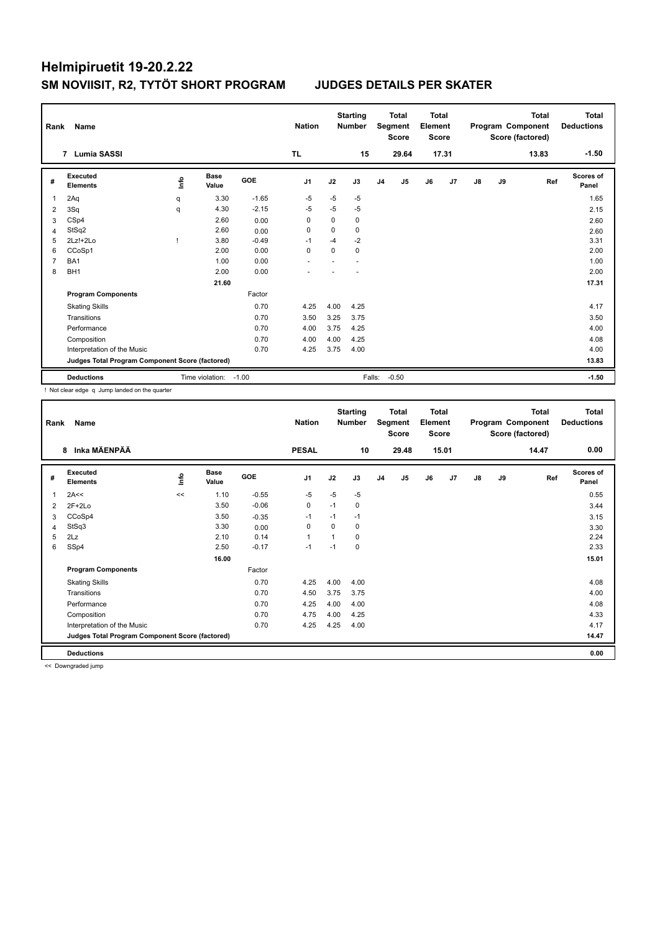| Rank           | Name                                            |      | <b>Nation</b>        |            | <b>Starting</b><br><b>Number</b> |          | <b>Total</b><br>Segment<br><b>Score</b> | <b>Total</b><br>Element<br><b>Score</b> |         |    |       | <b>Total</b><br>Program Component<br>Score (factored) | Total<br><b>Deductions</b> |       |                    |
|----------------|-------------------------------------------------|------|----------------------|------------|----------------------------------|----------|-----------------------------------------|-----------------------------------------|---------|----|-------|-------------------------------------------------------|----------------------------|-------|--------------------|
|                | Lumia SASSI<br>$\overline{7}$                   |      |                      |            | <b>TL</b>                        |          | 15                                      |                                         | 29.64   |    | 17.31 |                                                       |                            | 13.83 | $-1.50$            |
| #              | Executed<br><b>Elements</b>                     | Info | <b>Base</b><br>Value | <b>GOE</b> | J1                               | J2       | J3                                      | J <sub>4</sub>                          | J5      | J6 | J7    | J8                                                    | J9                         | Ref   | Scores of<br>Panel |
| 1              | 2Aq                                             | q    | 3.30                 | $-1.65$    | $-5$                             | $-5$     | $-5$                                    |                                         |         |    |       |                                                       |                            |       | 1.65               |
| $\overline{2}$ | 3Sq                                             | q    | 4.30                 | $-2.15$    | -5                               | $-5$     | -5                                      |                                         |         |    |       |                                                       |                            |       | 2.15               |
| 3              | CSp4                                            |      | 2.60                 | 0.00       | 0                                | $\Omega$ | 0                                       |                                         |         |    |       |                                                       |                            |       | 2.60               |
| $\overline{4}$ | StSq2                                           |      | 2.60                 | 0.00       | $\Omega$                         | $\Omega$ | $\Omega$                                |                                         |         |    |       |                                                       |                            |       | 2.60               |
| 5              | $2Lz!+2Lo$                                      |      | 3.80                 | $-0.49$    | $-1$                             | $-4$     | $-2$                                    |                                         |         |    |       |                                                       |                            |       | 3.31               |
| 6              | CCoSp1                                          |      | 2.00                 | 0.00       | $\mathbf 0$                      | $\Omega$ | $\mathbf 0$                             |                                         |         |    |       |                                                       |                            |       | 2.00               |
| 7              | BA <sub>1</sub>                                 |      | 1.00                 | 0.00       |                                  |          |                                         |                                         |         |    |       |                                                       |                            |       | 1.00               |
| 8              | BH <sub>1</sub>                                 |      | 2.00                 | 0.00       |                                  |          |                                         |                                         |         |    |       |                                                       |                            |       | 2.00               |
|                |                                                 |      | 21.60                |            |                                  |          |                                         |                                         |         |    |       |                                                       |                            |       | 17.31              |
|                | <b>Program Components</b>                       |      |                      | Factor     |                                  |          |                                         |                                         |         |    |       |                                                       |                            |       |                    |
|                | <b>Skating Skills</b>                           |      |                      | 0.70       | 4.25                             | 4.00     | 4.25                                    |                                         |         |    |       |                                                       |                            |       | 4.17               |
|                | Transitions                                     |      |                      | 0.70       | 3.50                             | 3.25     | 3.75                                    |                                         |         |    |       |                                                       |                            |       | 3.50               |
|                | Performance                                     |      |                      | 0.70       | 4.00                             | 3.75     | 4.25                                    |                                         |         |    |       |                                                       |                            |       | 4.00               |
|                | Composition                                     |      |                      | 0.70       | 4.00                             | 4.00     | 4.25                                    |                                         |         |    |       |                                                       |                            |       | 4.08               |
|                | Interpretation of the Music                     |      |                      | 0.70       | 4.25                             | 3.75     | 4.00                                    |                                         |         |    |       |                                                       |                            |       | 4.00               |
|                | Judges Total Program Component Score (factored) |      |                      |            |                                  |          |                                         |                                         |         |    |       |                                                       |                            |       | 13.83              |
|                | <b>Deductions</b>                               |      | Time violation:      | $-1.00$    |                                  |          | Falls:                                  |                                         | $-0.50$ |    |       |                                                       |                            |       | $-1.50$            |

! Not clear edge q Jump landed on the quarter

| Rank | Name                                            |      | <b>Nation</b>        |         | <b>Starting</b><br><b>Number</b> |      | <b>Total</b><br>Segment<br><b>Score</b> | <b>Total</b><br>Element<br><b>Score</b> |       |    |       | <b>Total</b><br>Program Component<br>Score (factored) | <b>Total</b><br><b>Deductions</b> |       |                           |
|------|-------------------------------------------------|------|----------------------|---------|----------------------------------|------|-----------------------------------------|-----------------------------------------|-------|----|-------|-------------------------------------------------------|-----------------------------------|-------|---------------------------|
|      | Inka MÄENPÄÄ<br>8                               |      |                      |         | <b>PESAL</b>                     |      | 10                                      |                                         | 29.48 |    | 15.01 |                                                       |                                   | 14.47 | 0.00                      |
| #    | Executed<br><b>Elements</b>                     | info | <b>Base</b><br>Value | GOE     | J1                               | J2   | J3                                      | J <sub>4</sub>                          | J5    | J6 | J7    | $\mathsf{J}8$                                         | J9                                | Ref   | <b>Scores of</b><br>Panel |
| 1    | 2A<<                                            | <<   | 1.10                 | $-0.55$ | $-5$                             | $-5$ | $-5$                                    |                                         |       |    |       |                                                       |                                   |       | 0.55                      |
| 2    | $2F+2Lo$                                        |      | 3.50                 | $-0.06$ | 0                                | $-1$ | 0                                       |                                         |       |    |       |                                                       |                                   |       | 3.44                      |
| 3    | CCoSp4                                          |      | 3.50                 | $-0.35$ | $-1$                             | $-1$ | $-1$                                    |                                         |       |    |       |                                                       |                                   |       | 3.15                      |
| 4    | StSq3                                           |      | 3.30                 | 0.00    | 0                                | 0    | 0                                       |                                         |       |    |       |                                                       |                                   |       | 3.30                      |
| 5    | 2Lz                                             |      | 2.10                 | 0.14    | $\mathbf{1}$                     | 1    | 0                                       |                                         |       |    |       |                                                       |                                   |       | 2.24                      |
| 6    | SSp4                                            |      | 2.50                 | $-0.17$ | $-1$                             | $-1$ | 0                                       |                                         |       |    |       |                                                       |                                   |       | 2.33                      |
|      |                                                 |      | 16.00                |         |                                  |      |                                         |                                         |       |    |       |                                                       |                                   |       | 15.01                     |
|      | <b>Program Components</b>                       |      |                      | Factor  |                                  |      |                                         |                                         |       |    |       |                                                       |                                   |       |                           |
|      | <b>Skating Skills</b>                           |      |                      | 0.70    | 4.25                             | 4.00 | 4.00                                    |                                         |       |    |       |                                                       |                                   |       | 4.08                      |
|      | Transitions                                     |      |                      | 0.70    | 4.50                             | 3.75 | 3.75                                    |                                         |       |    |       |                                                       |                                   |       | 4.00                      |
|      | Performance                                     |      |                      | 0.70    | 4.25                             | 4.00 | 4.00                                    |                                         |       |    |       |                                                       |                                   |       | 4.08                      |
|      | Composition                                     |      |                      | 0.70    | 4.75                             | 4.00 | 4.25                                    |                                         |       |    |       |                                                       |                                   |       | 4.33                      |
|      | Interpretation of the Music                     |      |                      | 0.70    | 4.25                             | 4.25 | 4.00                                    |                                         |       |    |       |                                                       |                                   |       | 4.17                      |
|      | Judges Total Program Component Score (factored) |      |                      |         |                                  |      |                                         |                                         |       |    |       |                                                       |                                   |       | 14.47                     |
|      | <b>Deductions</b>                               |      |                      |         |                                  |      |                                         |                                         |       |    |       |                                                       |                                   |       | 0.00                      |

<< Downgraded jump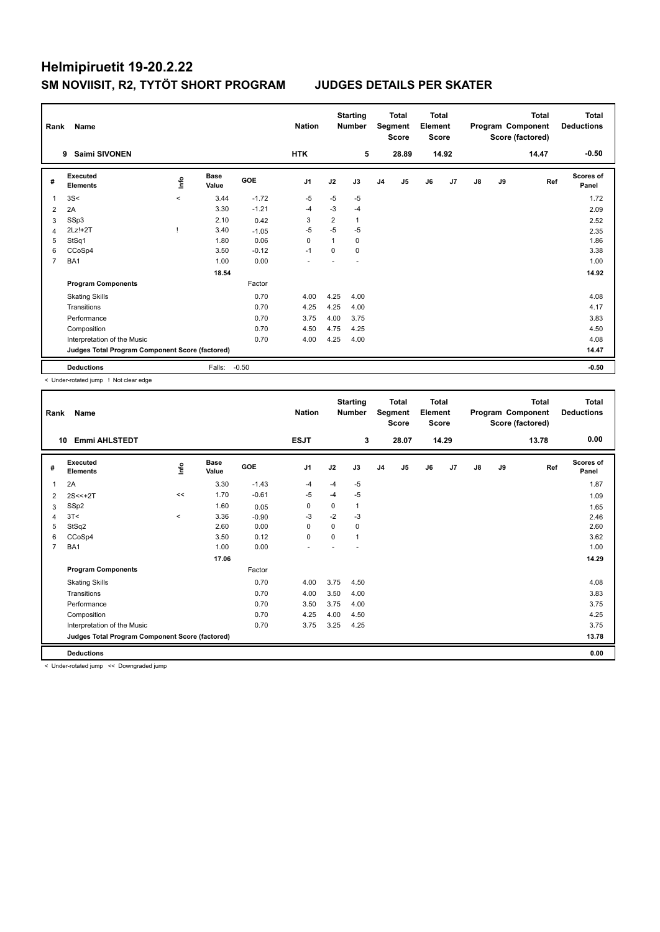|   | Rank<br>Name<br><b>Saimi SIVONEN</b><br>9       |             |                      |            | <b>Nation</b>  |                | <b>Starting</b><br><b>Number</b> |                | <b>Total</b><br>Segment<br><b>Score</b> | <b>Total</b><br>Element<br><b>Score</b> |       |               |    | <b>Total</b><br>Program Component<br>Score (factored) | <b>Total</b><br><b>Deductions</b> |
|---|-------------------------------------------------|-------------|----------------------|------------|----------------|----------------|----------------------------------|----------------|-----------------------------------------|-----------------------------------------|-------|---------------|----|-------------------------------------------------------|-----------------------------------|
|   |                                                 |             |                      |            | <b>HTK</b>     |                | 5                                |                | 28.89                                   |                                         | 14.92 |               |    | 14.47                                                 | $-0.50$                           |
| # | Executed<br><b>Elements</b>                     | <u>info</u> | <b>Base</b><br>Value | <b>GOE</b> | J <sub>1</sub> | J2             | J3                               | J <sub>4</sub> | J5                                      | J6                                      | J7    | $\mathsf{J}8$ | J9 | Ref                                                   | Scores of<br>Panel                |
| 1 | 3S<                                             | $\prec$     | 3.44                 | $-1.72$    | $-5$           | $-5$           | -5                               |                |                                         |                                         |       |               |    |                                                       | 1.72                              |
| 2 | 2A                                              |             | 3.30                 | $-1.21$    | $-4$           | $-3$           | $-4$                             |                |                                         |                                         |       |               |    |                                                       | 2.09                              |
| 3 | SSp3                                            |             | 2.10                 | 0.42       | 3              | $\overline{2}$ | $\mathbf{1}$                     |                |                                         |                                         |       |               |    |                                                       | 2.52                              |
| 4 | $2Lz!+2T$                                       |             | 3.40                 | $-1.05$    | $-5$           | $-5$           | $-5$                             |                |                                         |                                         |       |               |    |                                                       | 2.35                              |
| 5 | StSq1                                           |             | 1.80                 | 0.06       | 0              | $\mathbf{1}$   | $\mathbf 0$                      |                |                                         |                                         |       |               |    |                                                       | 1.86                              |
| 6 | CCoSp4                                          |             | 3.50                 | $-0.12$    | $-1$           | 0              | $\mathbf 0$                      |                |                                         |                                         |       |               |    |                                                       | 3.38                              |
| 7 | BA1                                             |             | 1.00                 | 0.00       |                |                |                                  |                |                                         |                                         |       |               |    |                                                       | 1.00                              |
|   |                                                 |             | 18.54                |            |                |                |                                  |                |                                         |                                         |       |               |    |                                                       | 14.92                             |
|   | <b>Program Components</b>                       |             |                      | Factor     |                |                |                                  |                |                                         |                                         |       |               |    |                                                       |                                   |
|   | <b>Skating Skills</b>                           |             |                      | 0.70       | 4.00           | 4.25           | 4.00                             |                |                                         |                                         |       |               |    |                                                       | 4.08                              |
|   | Transitions                                     |             |                      | 0.70       | 4.25           | 4.25           | 4.00                             |                |                                         |                                         |       |               |    |                                                       | 4.17                              |
|   | Performance                                     |             |                      | 0.70       | 3.75           | 4.00           | 3.75                             |                |                                         |                                         |       |               |    |                                                       | 3.83                              |
|   | Composition                                     |             |                      | 0.70       | 4.50           | 4.75           | 4.25                             |                |                                         |                                         |       |               |    |                                                       | 4.50                              |
|   | Interpretation of the Music                     |             |                      | 0.70       | 4.00           | 4.25           | 4.00                             |                |                                         |                                         |       |               |    |                                                       | 4.08                              |
|   | Judges Total Program Component Score (factored) |             |                      |            |                |                |                                  |                |                                         |                                         |       |               |    |                                                       | 14.47                             |
|   | <b>Deductions</b>                               |             | Falls:               | $-0.50$    |                |                |                                  |                |                                         |                                         |       |               |    |                                                       | $-0.50$                           |

< Under-rotated jump ! Not clear edge

| Rank           | Name<br><b>Emmi AHLSTEDT</b><br>10              |          |                      |         |                |          | <b>Starting</b><br><b>Number</b> |                | <b>Total</b><br>Segment<br><b>Score</b> | <b>Total</b><br>Element<br>Score |                |               |    | <b>Total</b><br>Program Component<br>Score (factored) | <b>Total</b><br><b>Deductions</b> |
|----------------|-------------------------------------------------|----------|----------------------|---------|----------------|----------|----------------------------------|----------------|-----------------------------------------|----------------------------------|----------------|---------------|----|-------------------------------------------------------|-----------------------------------|
|                |                                                 |          |                      |         | <b>ESJT</b>    |          | 3                                |                | 28.07                                   |                                  | 14.29          |               |    | 13.78                                                 | 0.00                              |
| #              | Executed<br><b>Elements</b>                     | lnfo     | <b>Base</b><br>Value | GOE     | J <sub>1</sub> | J2       | J3                               | J <sub>4</sub> | J5                                      | J6                               | J <sub>7</sub> | $\mathsf{J}8$ | J9 | Ref                                                   | Scores of<br>Panel                |
| 1              | 2A                                              |          | 3.30                 | $-1.43$ | -4             | $-4$     | $-5$                             |                |                                         |                                  |                |               |    |                                                       | 1.87                              |
| 2              | $2S < +2T$                                      | <<       | 1.70                 | $-0.61$ | $-5$           | $-4$     | $-5$                             |                |                                         |                                  |                |               |    |                                                       | 1.09                              |
| 3              | SSp2                                            |          | 1.60                 | 0.05    | 0              | 0        | 1                                |                |                                         |                                  |                |               |    |                                                       | 1.65                              |
| 4              | 3T <                                            | $\hat{}$ | 3.36                 | $-0.90$ | $-3$           | $-2$     | $-3$                             |                |                                         |                                  |                |               |    |                                                       | 2.46                              |
| 5              | StSq2                                           |          | 2.60                 | 0.00    | $\Omega$       | $\Omega$ | $\Omega$                         |                |                                         |                                  |                |               |    |                                                       | 2.60                              |
| 6              | CCoSp4                                          |          | 3.50                 | 0.12    | $\mathbf 0$    | 0        | 1                                |                |                                         |                                  |                |               |    |                                                       | 3.62                              |
| $\overline{7}$ | BA1                                             |          | 1.00                 | 0.00    |                |          |                                  |                |                                         |                                  |                |               |    |                                                       | 1.00                              |
|                |                                                 |          | 17.06                |         |                |          |                                  |                |                                         |                                  |                |               |    |                                                       | 14.29                             |
|                | <b>Program Components</b>                       |          |                      | Factor  |                |          |                                  |                |                                         |                                  |                |               |    |                                                       |                                   |
|                | <b>Skating Skills</b>                           |          |                      | 0.70    | 4.00           | 3.75     | 4.50                             |                |                                         |                                  |                |               |    |                                                       | 4.08                              |
|                | Transitions                                     |          |                      | 0.70    | 4.00           | 3.50     | 4.00                             |                |                                         |                                  |                |               |    |                                                       | 3.83                              |
|                | Performance                                     |          |                      | 0.70    | 3.50           | 3.75     | 4.00                             |                |                                         |                                  |                |               |    |                                                       | 3.75                              |
|                | Composition                                     |          |                      | 0.70    | 4.25           | 4.00     | 4.50                             |                |                                         |                                  |                |               |    |                                                       | 4.25                              |
|                | Interpretation of the Music                     |          |                      | 0.70    | 3.75           | 3.25     | 4.25                             |                |                                         |                                  |                |               |    |                                                       | 3.75                              |
|                | Judges Total Program Component Score (factored) |          |                      |         |                |          |                                  |                |                                         |                                  |                |               |    |                                                       | 13.78                             |
|                | <b>Deductions</b>                               |          |                      |         |                |          |                                  |                |                                         |                                  |                |               |    |                                                       | 0.00                              |

< Under-rotated jump << Downgraded jump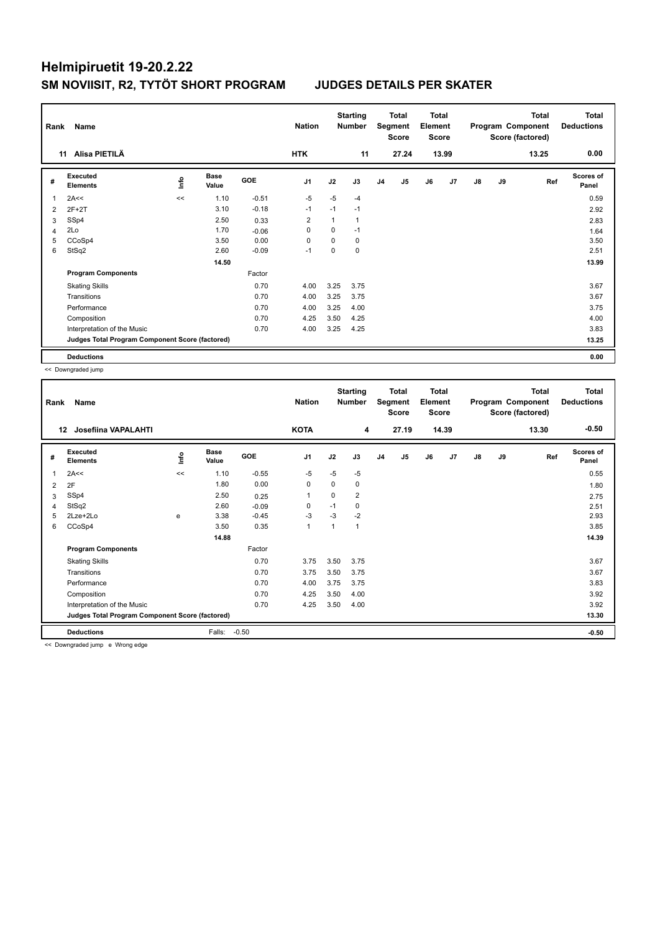| Rank           | Name                                            |             | <b>Nation</b>        |            | <b>Starting</b><br><b>Number</b> |      | Total<br>Segment<br><b>Score</b> | <b>Total</b><br>Element<br><b>Score</b> |                |    |       | <b>Total</b><br>Program Component<br>Score (factored) | <b>Total</b><br><b>Deductions</b> |       |                    |
|----------------|-------------------------------------------------|-------------|----------------------|------------|----------------------------------|------|----------------------------------|-----------------------------------------|----------------|----|-------|-------------------------------------------------------|-----------------------------------|-------|--------------------|
|                | Alisa PIETILÄ<br>11                             |             |                      |            | <b>HTK</b>                       |      | 11                               |                                         | 27.24          |    | 13.99 |                                                       |                                   | 13.25 | 0.00               |
| #              | Executed<br><b>Elements</b>                     | <u>info</u> | <b>Base</b><br>Value | <b>GOE</b> | J <sub>1</sub>                   | J2   | J3                               | J <sub>4</sub>                          | J <sub>5</sub> | J6 | J7    | $\mathsf{J}8$                                         | J9                                | Ref   | Scores of<br>Panel |
|                | 2A<<                                            | <<          | 1.10                 | $-0.51$    | $-5$                             | $-5$ | -4                               |                                         |                |    |       |                                                       |                                   |       | 0.59               |
| $\overline{2}$ | $2F+2T$                                         |             | 3.10                 | $-0.18$    | $-1$                             | $-1$ | $-1$                             |                                         |                |    |       |                                                       |                                   |       | 2.92               |
| 3              | SSp4                                            |             | 2.50                 | 0.33       | $\overline{2}$                   | 1    | $\mathbf{1}$                     |                                         |                |    |       |                                                       |                                   |       | 2.83               |
| 4              | 2Lo                                             |             | 1.70                 | $-0.06$    | 0                                | 0    | $-1$                             |                                         |                |    |       |                                                       |                                   |       | 1.64               |
| 5              | CCoSp4                                          |             | 3.50                 | 0.00       | 0                                | 0    | $\mathbf 0$                      |                                         |                |    |       |                                                       |                                   |       | 3.50               |
| 6              | StSq2                                           |             | 2.60                 | $-0.09$    | $-1$                             | 0    | 0                                |                                         |                |    |       |                                                       |                                   |       | 2.51               |
|                |                                                 |             | 14.50                |            |                                  |      |                                  |                                         |                |    |       |                                                       |                                   |       | 13.99              |
|                | <b>Program Components</b>                       |             |                      | Factor     |                                  |      |                                  |                                         |                |    |       |                                                       |                                   |       |                    |
|                | <b>Skating Skills</b>                           |             |                      | 0.70       | 4.00                             | 3.25 | 3.75                             |                                         |                |    |       |                                                       |                                   |       | 3.67               |
|                | Transitions                                     |             |                      | 0.70       | 4.00                             | 3.25 | 3.75                             |                                         |                |    |       |                                                       |                                   |       | 3.67               |
|                | Performance                                     |             |                      | 0.70       | 4.00                             | 3.25 | 4.00                             |                                         |                |    |       |                                                       |                                   |       | 3.75               |
|                | Composition                                     |             |                      | 0.70       | 4.25                             | 3.50 | 4.25                             |                                         |                |    |       |                                                       |                                   |       | 4.00               |
|                | Interpretation of the Music                     |             |                      | 0.70       | 4.00                             | 3.25 | 4.25                             |                                         |                |    |       |                                                       |                                   |       | 3.83               |
|                | Judges Total Program Component Score (factored) |             |                      |            |                                  |      |                                  |                                         |                |    |       |                                                       |                                   |       | 13.25              |
|                | <b>Deductions</b>                               |             |                      |            |                                  |      |                                  |                                         |                |    |       |                                                       |                                   |       | 0.00               |

<< Downgraded jump

| $-0.50$<br><b>KOTA</b><br>Josefiina VAPALAHTI<br>4<br>27.19<br>14.39<br>13.30<br>$12 \,$<br>Scores of<br>Executed<br><b>Base</b><br>١nfo<br>GOE<br>J1<br>J2<br>J5<br>J6<br>J9<br>J3<br>J <sub>4</sub><br>J7<br>$\mathsf{J}8$<br>Ref<br>#<br><b>Elements</b><br>Value<br>Panel<br>$-5$<br>2A<<<br>1.10<br>$-0.55$<br>$-5$<br>$-5$<br>0.55<br>1<br><<<br>0.00<br>1.80<br>0<br>$\Omega$<br>0<br>2F<br>2<br>1.80<br>$\overline{2}$<br>SSp4<br>2.50<br>0<br>$\mathbf{1}$<br>0.25<br>2.75<br>3<br>StSq2<br>2.60<br>$-1$<br>0<br>0<br>$-0.09$<br>2.51<br>4<br>$-3$<br>$-2$<br>$2$ Lze $+2$ Lo<br>$-3$<br>2.93<br>3.38<br>$-0.45$<br>5<br>e<br>3.50<br>0.35<br>CCoSp4<br>3.85<br>$\mathbf{1}$<br>$\mathbf{1}$<br>6<br>1<br>14.39<br>14.88<br>Factor<br><b>Program Components</b><br>0.70<br>3.50<br>3.75<br><b>Skating Skills</b><br>3.75<br>3.67<br>Transitions<br>0.70<br>3.75<br>3.50<br>3.75<br>3.67<br>3.83<br>Performance<br>0.70<br>4.00<br>3.75<br>3.75<br>4.25<br>3.50<br>3.92<br>0.70<br>4.00<br>Composition<br>3.92<br>Interpretation of the Music<br>0.70<br>4.25<br>3.50<br>4.00<br>Judges Total Program Component Score (factored)<br>13.30<br>$-0.50$<br><b>Deductions</b><br>Falls:<br>$-0.50$ | Rank | Name |  |  |  |  | <b>Starting</b><br><b>Number</b> | <b>Total</b><br>Segment<br><b>Score</b> | <b>Total</b><br>Element<br><b>Score</b> |  | <b>Total</b><br>Program Component<br>Score (factored) | <b>Total</b><br><b>Deductions</b> |
|--------------------------------------------------------------------------------------------------------------------------------------------------------------------------------------------------------------------------------------------------------------------------------------------------------------------------------------------------------------------------------------------------------------------------------------------------------------------------------------------------------------------------------------------------------------------------------------------------------------------------------------------------------------------------------------------------------------------------------------------------------------------------------------------------------------------------------------------------------------------------------------------------------------------------------------------------------------------------------------------------------------------------------------------------------------------------------------------------------------------------------------------------------------------------------------------------------|------|------|--|--|--|--|----------------------------------|-----------------------------------------|-----------------------------------------|--|-------------------------------------------------------|-----------------------------------|
|                                                                                                                                                                                                                                                                                                                                                                                                                                                                                                                                                                                                                                                                                                                                                                                                                                                                                                                                                                                                                                                                                                                                                                                                        |      |      |  |  |  |  |                                  |                                         |                                         |  |                                                       |                                   |
|                                                                                                                                                                                                                                                                                                                                                                                                                                                                                                                                                                                                                                                                                                                                                                                                                                                                                                                                                                                                                                                                                                                                                                                                        |      |      |  |  |  |  |                                  |                                         |                                         |  |                                                       |                                   |
|                                                                                                                                                                                                                                                                                                                                                                                                                                                                                                                                                                                                                                                                                                                                                                                                                                                                                                                                                                                                                                                                                                                                                                                                        |      |      |  |  |  |  |                                  |                                         |                                         |  |                                                       |                                   |
|                                                                                                                                                                                                                                                                                                                                                                                                                                                                                                                                                                                                                                                                                                                                                                                                                                                                                                                                                                                                                                                                                                                                                                                                        |      |      |  |  |  |  |                                  |                                         |                                         |  |                                                       |                                   |
|                                                                                                                                                                                                                                                                                                                                                                                                                                                                                                                                                                                                                                                                                                                                                                                                                                                                                                                                                                                                                                                                                                                                                                                                        |      |      |  |  |  |  |                                  |                                         |                                         |  |                                                       |                                   |
|                                                                                                                                                                                                                                                                                                                                                                                                                                                                                                                                                                                                                                                                                                                                                                                                                                                                                                                                                                                                                                                                                                                                                                                                        |      |      |  |  |  |  |                                  |                                         |                                         |  |                                                       |                                   |
|                                                                                                                                                                                                                                                                                                                                                                                                                                                                                                                                                                                                                                                                                                                                                                                                                                                                                                                                                                                                                                                                                                                                                                                                        |      |      |  |  |  |  |                                  |                                         |                                         |  |                                                       |                                   |
|                                                                                                                                                                                                                                                                                                                                                                                                                                                                                                                                                                                                                                                                                                                                                                                                                                                                                                                                                                                                                                                                                                                                                                                                        |      |      |  |  |  |  |                                  |                                         |                                         |  |                                                       |                                   |
|                                                                                                                                                                                                                                                                                                                                                                                                                                                                                                                                                                                                                                                                                                                                                                                                                                                                                                                                                                                                                                                                                                                                                                                                        |      |      |  |  |  |  |                                  |                                         |                                         |  |                                                       |                                   |
|                                                                                                                                                                                                                                                                                                                                                                                                                                                                                                                                                                                                                                                                                                                                                                                                                                                                                                                                                                                                                                                                                                                                                                                                        |      |      |  |  |  |  |                                  |                                         |                                         |  |                                                       |                                   |
|                                                                                                                                                                                                                                                                                                                                                                                                                                                                                                                                                                                                                                                                                                                                                                                                                                                                                                                                                                                                                                                                                                                                                                                                        |      |      |  |  |  |  |                                  |                                         |                                         |  |                                                       |                                   |
|                                                                                                                                                                                                                                                                                                                                                                                                                                                                                                                                                                                                                                                                                                                                                                                                                                                                                                                                                                                                                                                                                                                                                                                                        |      |      |  |  |  |  |                                  |                                         |                                         |  |                                                       |                                   |
|                                                                                                                                                                                                                                                                                                                                                                                                                                                                                                                                                                                                                                                                                                                                                                                                                                                                                                                                                                                                                                                                                                                                                                                                        |      |      |  |  |  |  |                                  |                                         |                                         |  |                                                       |                                   |
|                                                                                                                                                                                                                                                                                                                                                                                                                                                                                                                                                                                                                                                                                                                                                                                                                                                                                                                                                                                                                                                                                                                                                                                                        |      |      |  |  |  |  |                                  |                                         |                                         |  |                                                       |                                   |
|                                                                                                                                                                                                                                                                                                                                                                                                                                                                                                                                                                                                                                                                                                                                                                                                                                                                                                                                                                                                                                                                                                                                                                                                        |      |      |  |  |  |  |                                  |                                         |                                         |  |                                                       |                                   |
|                                                                                                                                                                                                                                                                                                                                                                                                                                                                                                                                                                                                                                                                                                                                                                                                                                                                                                                                                                                                                                                                                                                                                                                                        |      |      |  |  |  |  |                                  |                                         |                                         |  |                                                       |                                   |
|                                                                                                                                                                                                                                                                                                                                                                                                                                                                                                                                                                                                                                                                                                                                                                                                                                                                                                                                                                                                                                                                                                                                                                                                        |      |      |  |  |  |  |                                  |                                         |                                         |  |                                                       |                                   |

<< Downgraded jump e Wrong edge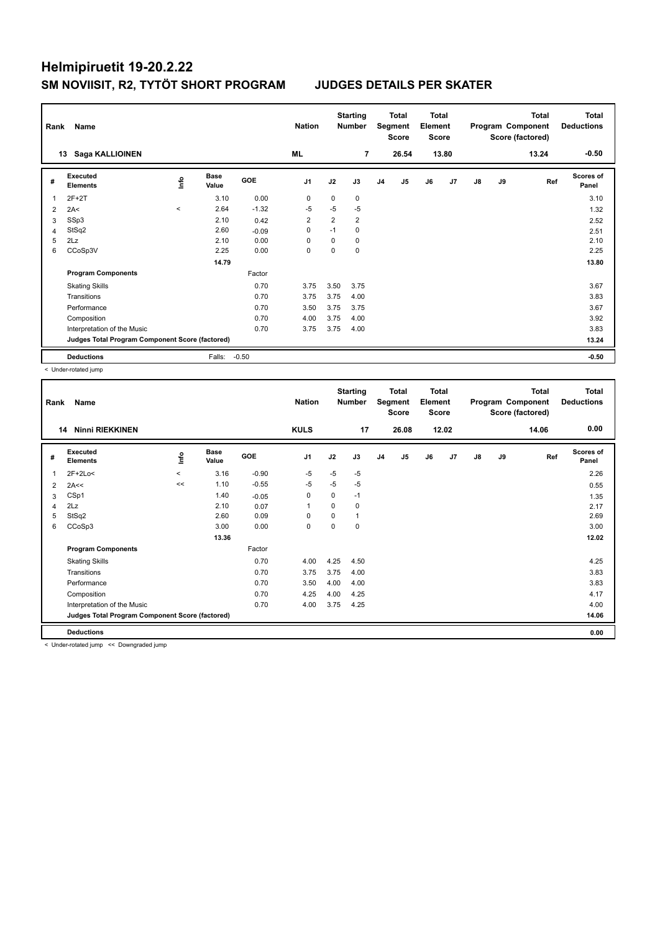| Rank | Name                                                     |                     |                      |         | <b>Nation</b>  |      | <b>Starting</b><br><b>Number</b> |                | Total<br>Segment<br><b>Score</b> | <b>Total</b><br>Element<br><b>Score</b> |                |               |    | <b>Total</b><br>Program Component<br>Score (factored) | <b>Total</b><br><b>Deductions</b> |
|------|----------------------------------------------------------|---------------------|----------------------|---------|----------------|------|----------------------------------|----------------|----------------------------------|-----------------------------------------|----------------|---------------|----|-------------------------------------------------------|-----------------------------------|
|      | Saga KALLIOINEN<br>13                                    |                     |                      |         | ML             |      | 7                                |                | 26.54                            |                                         | 13.80          |               |    | 13.24                                                 | $-0.50$                           |
| #    | <b>Executed</b><br><b>Elements</b>                       | ١nfo                | <b>Base</b><br>Value | GOE     | J <sub>1</sub> | J2   | J3                               | J <sub>4</sub> | J <sub>5</sub>                   | J6                                      | J <sub>7</sub> | $\mathsf{J}8$ | J9 | Ref                                                   | <b>Scores of</b><br>Panel         |
| 1    | $2F+2T$                                                  |                     | 3.10                 | 0.00    | 0              | 0    | 0                                |                |                                  |                                         |                |               |    |                                                       | 3.10                              |
| 2    | 2A<                                                      | $\hat{\phantom{a}}$ | 2.64                 | $-1.32$ | $-5$           | $-5$ | $-5$                             |                |                                  |                                         |                |               |    |                                                       | 1.32                              |
| 3    | SSp3                                                     |                     | 2.10                 | 0.42    | $\overline{2}$ | 2    | $\overline{2}$                   |                |                                  |                                         |                |               |    |                                                       | 2.52                              |
| 4    | StSq2                                                    |                     | 2.60                 | $-0.09$ | $\mathbf 0$    | $-1$ | 0                                |                |                                  |                                         |                |               |    |                                                       | 2.51                              |
| 5    | 2Lz                                                      |                     | 2.10                 | 0.00    | $\Omega$       | 0    | 0                                |                |                                  |                                         |                |               |    |                                                       | 2.10                              |
| 6    | CCoSp3V                                                  |                     | 2.25                 | 0.00    | 0              | 0    | 0                                |                |                                  |                                         |                |               |    |                                                       | 2.25                              |
|      |                                                          |                     | 14.79                |         |                |      |                                  |                |                                  |                                         |                |               |    |                                                       | 13.80                             |
|      | <b>Program Components</b>                                |                     |                      | Factor  |                |      |                                  |                |                                  |                                         |                |               |    |                                                       |                                   |
|      | <b>Skating Skills</b>                                    |                     |                      | 0.70    | 3.75           | 3.50 | 3.75                             |                |                                  |                                         |                |               |    |                                                       | 3.67                              |
|      | Transitions                                              |                     |                      | 0.70    | 3.75           | 3.75 | 4.00                             |                |                                  |                                         |                |               |    |                                                       | 3.83                              |
|      | Performance                                              |                     |                      | 0.70    | 3.50           | 3.75 | 3.75                             |                |                                  |                                         |                |               |    |                                                       | 3.67                              |
|      | Composition                                              |                     |                      | 0.70    | 4.00           | 3.75 | 4.00                             |                |                                  |                                         |                |               |    |                                                       | 3.92                              |
|      | Interpretation of the Music                              |                     |                      | 0.70    | 3.75           | 3.75 | 4.00                             |                |                                  |                                         |                |               |    |                                                       | 3.83                              |
|      | Judges Total Program Component Score (factored)<br>13.24 |                     |                      |         |                |      |                                  |                |                                  |                                         |                |               |    |                                                       |                                   |
|      | <b>Deductions</b>                                        |                     | Falls:               | $-0.50$ |                |      |                                  |                |                                  |                                         |                |               |    |                                                       | $-0.50$                           |

< Under-rotated jump

| Rank | Name                                            |         |                      |         | <b>Nation</b>  |          | <b>Starting</b><br><b>Number</b> |                | <b>Total</b><br>Segment<br><b>Score</b> | <b>Total</b><br>Element<br><b>Score</b> |       |               |    | <b>Total</b><br>Program Component<br>Score (factored) | <b>Total</b><br><b>Deductions</b> |
|------|-------------------------------------------------|---------|----------------------|---------|----------------|----------|----------------------------------|----------------|-----------------------------------------|-----------------------------------------|-------|---------------|----|-------------------------------------------------------|-----------------------------------|
| 14   | <b>Ninni RIEKKINEN</b>                          |         |                      |         | <b>KULS</b>    |          | 17                               |                | 26.08                                   |                                         | 12.02 |               |    | 14.06                                                 | 0.00                              |
| #    | Executed<br><b>Elements</b>                     | ١nfo    | <b>Base</b><br>Value | GOE     | J <sub>1</sub> | J2       | J3                               | J <sub>4</sub> | J5                                      | J6                                      | J7    | $\mathsf{J}8$ | J9 | Ref                                                   | <b>Scores of</b><br>Panel         |
| 1    | $2F+2Lo<$                                       | $\prec$ | 3.16                 | $-0.90$ | $-5$           | $-5$     | $-5$                             |                |                                         |                                         |       |               |    |                                                       | 2.26                              |
| 2    | 2A<<                                            | <<      | 1.10                 | $-0.55$ | $-5$           | $-5$     | $-5$                             |                |                                         |                                         |       |               |    |                                                       | 0.55                              |
| 3    | CSp1                                            |         | 1.40                 | $-0.05$ | 0              | 0        | $-1$                             |                |                                         |                                         |       |               |    |                                                       | 1.35                              |
| 4    | 2Lz                                             |         | 2.10                 | 0.07    | $\mathbf{1}$   | 0        | 0                                |                |                                         |                                         |       |               |    |                                                       | 2.17                              |
| 5    | StSq2                                           |         | 2.60                 | 0.09    | $\Omega$       | $\Omega$ | 1                                |                |                                         |                                         |       |               |    |                                                       | 2.69                              |
| 6    | CCoSp3                                          |         | 3.00                 | 0.00    | $\mathbf 0$    | 0        | 0                                |                |                                         |                                         |       |               |    |                                                       | 3.00                              |
|      |                                                 |         | 13.36                |         |                |          |                                  |                |                                         |                                         |       |               |    |                                                       | 12.02                             |
|      | <b>Program Components</b>                       |         |                      | Factor  |                |          |                                  |                |                                         |                                         |       |               |    |                                                       |                                   |
|      | <b>Skating Skills</b>                           |         |                      | 0.70    | 4.00           | 4.25     | 4.50                             |                |                                         |                                         |       |               |    |                                                       | 4.25                              |
|      | Transitions                                     |         |                      | 0.70    | 3.75           | 3.75     | 4.00                             |                |                                         |                                         |       |               |    |                                                       | 3.83                              |
|      | Performance                                     |         |                      | 0.70    | 3.50           | 4.00     | 4.00                             |                |                                         |                                         |       |               |    |                                                       | 3.83                              |
|      | Composition                                     |         |                      | 0.70    | 4.25           | 4.00     | 4.25                             |                |                                         |                                         |       |               |    |                                                       | 4.17                              |
|      | Interpretation of the Music                     |         |                      | 0.70    | 4.00           | 3.75     | 4.25                             |                |                                         |                                         |       |               |    |                                                       | 4.00                              |
|      | Judges Total Program Component Score (factored) |         |                      |         |                |          |                                  |                |                                         |                                         |       |               |    |                                                       | 14.06                             |
|      | <b>Deductions</b>                               |         |                      |         |                |          |                                  |                |                                         |                                         |       |               |    |                                                       | 0.00                              |

< Under-rotated jump << Downgraded jump